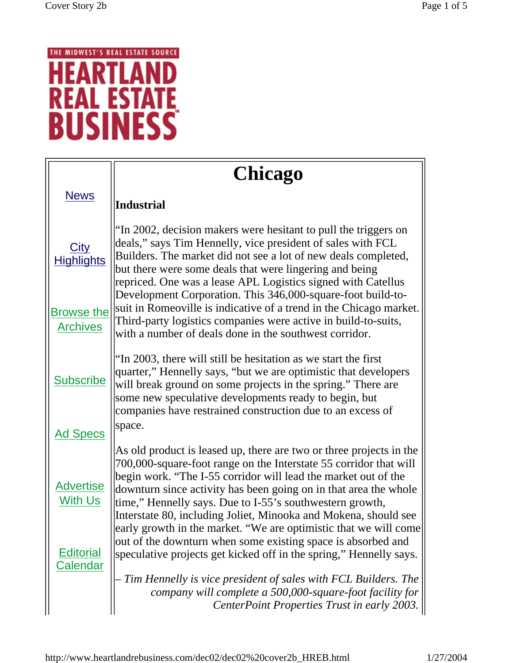## THE MIDWEST'S REAL ESTATE SOURCE **HEARTLAI** D Ν **REAL ESTATE**

|                                                                    | <b>Chicago</b>                                                                                                                                                                                                                                                                                                                                                                                                                                                                                                                                                                                                          |
|--------------------------------------------------------------------|-------------------------------------------------------------------------------------------------------------------------------------------------------------------------------------------------------------------------------------------------------------------------------------------------------------------------------------------------------------------------------------------------------------------------------------------------------------------------------------------------------------------------------------------------------------------------------------------------------------------------|
| <b>News</b>                                                        | Industrial                                                                                                                                                                                                                                                                                                                                                                                                                                                                                                                                                                                                              |
| <b>City</b><br><b>Highlights</b>                                   | "In 2002, decision makers were hesitant to pull the triggers on<br>deals," says Tim Hennelly, vice president of sales with FCL<br>Builders. The market did not see a lot of new deals completed,<br>but there were some deals that were lingering and being<br>repriced. One was a lease APL Logistics signed with Catellus                                                                                                                                                                                                                                                                                             |
| <b>Browse the</b><br><b>Archives</b>                               | Development Corporation. This 346,000-square-foot build-to-<br>suit in Romeoville is indicative of a trend in the Chicago market.<br>Third-party logistics companies were active in build-to-suits,<br>with a number of deals done in the southwest corridor.                                                                                                                                                                                                                                                                                                                                                           |
| <b>Subscribe</b>                                                   | "In 2003, there will still be hesitation as we start the first<br>quarter," Hennelly says, "but we are optimistic that developers<br>will break ground on some projects in the spring." There are<br>some new speculative developments ready to begin, but<br>companies have restrained construction due to an excess of<br>space.                                                                                                                                                                                                                                                                                      |
| <b>Ad Specs</b>                                                    |                                                                                                                                                                                                                                                                                                                                                                                                                                                                                                                                                                                                                         |
| <b>Advertise</b><br>With Us<br><u>Editorial</u><br><b>Calendar</b> | As old product is leased up, there are two or three projects in the<br>700,000-square-foot range on the Interstate 55 corridor that will<br>begin work. "The I-55 corridor will lead the market out of the<br>downturn since activity has been going on in that area the whole<br>time," Hennelly says. Due to I-55's southwestern growth,<br>Interstate 80, including Joliet, Minooka and Mokena, should see<br>early growth in the market. "We are optimistic that we will come<br>out of the downturn when some existing space is absorbed and<br>speculative projects get kicked off in the spring," Hennelly says. |
|                                                                    | Tim Hennelly is vice president of sales with FCL Builders. The<br>company will complete a 500,000-square-foot facility for<br>CenterPoint Properties Trust in early 2003.                                                                                                                                                                                                                                                                                                                                                                                                                                               |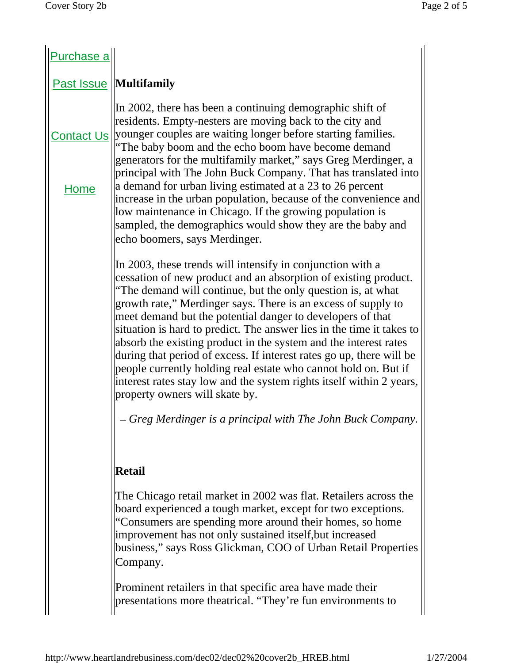| Purchase a  |                                                                                                                                                                                                                                                                                                                                                                                                                                                                                                                                                                                                                                                                                                                                                                                               |
|-------------|-----------------------------------------------------------------------------------------------------------------------------------------------------------------------------------------------------------------------------------------------------------------------------------------------------------------------------------------------------------------------------------------------------------------------------------------------------------------------------------------------------------------------------------------------------------------------------------------------------------------------------------------------------------------------------------------------------------------------------------------------------------------------------------------------|
|             | <b>Past Issue   Multifamily</b>                                                                                                                                                                                                                                                                                                                                                                                                                                                                                                                                                                                                                                                                                                                                                               |
|             | In 2002, there has been a continuing demographic shift of<br>residents. Empty-nesters are moving back to the city and<br>Contact Us   younger couples are waiting longer before starting families.<br>"The baby boom and the echo boom have become demand<br>generators for the multifamily market," says Greg Merdinger, a<br>principal with The John Buck Company. That has translated into                                                                                                                                                                                                                                                                                                                                                                                                 |
| <b>Home</b> | a demand for urban living estimated at a 23 to 26 percent<br>increase in the urban population, because of the convenience and<br>low maintenance in Chicago. If the growing population is<br>sampled, the demographics would show they are the baby and<br>echo boomers, says Merdinger.                                                                                                                                                                                                                                                                                                                                                                                                                                                                                                      |
|             | In 2003, these trends will intensify in conjunction with a<br>cessation of new product and an absorption of existing product.<br>"The demand will continue, but the only question is, at what<br>growth rate," Merdinger says. There is an excess of supply to<br>meet demand but the potential danger to developers of that<br>situation is hard to predict. The answer lies in the time it takes to<br>absorb the existing product in the system and the interest rates<br>during that period of excess. If interest rates go up, there will be<br>people currently holding real estate who cannot hold on. But if<br>interest rates stay low and the system rights itself within 2 years,<br>property owners will skate by.<br>– Greg Merdinger is a principal with The John Buck Company. |
|             | <b>Retail</b><br>The Chicago retail market in 2002 was flat. Retailers across the<br>board experienced a tough market, except for two exceptions.<br>"Consumers are spending more around their homes, so home<br>improvement has not only sustained itself, but increased<br>business," says Ross Glickman, COO of Urban Retail Properties<br>Company.<br>Prominent retailers in that specific area have made their<br>presentations more theatrical. "They're fun environments to                                                                                                                                                                                                                                                                                                            |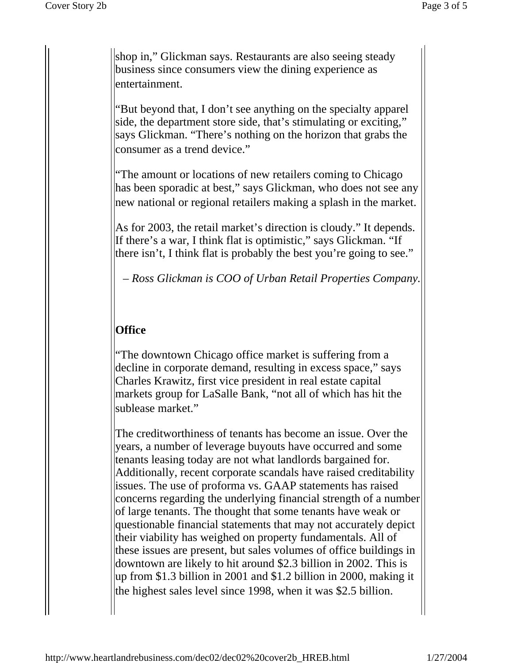shop in," Glickman says. Restaurants are also seeing steady business since consumers view the dining experience as entertainment.

"But beyond that, I don't see anything on the specialty apparel side, the department store side, that's stimulating or exciting," says Glickman. "There's nothing on the horizon that grabs the consumer as a trend device."

"The amount or locations of new retailers coming to Chicago has been sporadic at best," says Glickman, who does not see any new national or regional retailers making a splash in the market.

As for 2003, the retail market's direction is cloudy." It depends. If there's a war, I think flat is optimistic," says Glickman. "If there isn't, I think flat is probably the best you're going to see."

– *Ross Glickman is COO of Urban Retail Properties Company.*

## **Office**

"The downtown Chicago office market is suffering from a decline in corporate demand, resulting in excess space," says Charles Krawitz, first vice president in real estate capital markets group for LaSalle Bank, "not all of which has hit the sublease market."

The creditworthiness of tenants has become an issue. Over the years, a number of leverage buyouts have occurred and some tenants leasing today are not what landlords bargained for. Additionally, recent corporate scandals have raised creditability issues. The use of proforma vs. GAAP statements has raised concerns regarding the underlying financial strength of a number of large tenants. The thought that some tenants have weak or questionable financial statements that may not accurately depict their viability has weighed on property fundamentals. All of these issues are present, but sales volumes of office buildings in downtown are likely to hit around \$2.3 billion in 2002. This is up from \$1.3 billion in 2001 and \$1.2 billion in 2000, making it the highest sales level since 1998, when it was \$2.5 billion.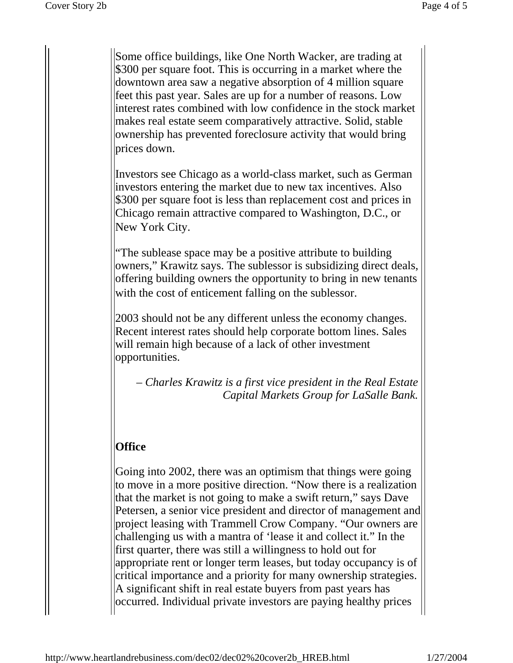Some office buildings, like One North Wacker, are trading at \$300 per square foot. This is occurring in a market where the downtown area saw a negative absorption of 4 million square feet this past year. Sales are up for a number of reasons. Low interest rates combined with low confidence in the stock market makes real estate seem comparatively attractive. Solid, stable ownership has prevented foreclosure activity that would bring prices down.

Investors see Chicago as a world-class market, such as German investors entering the market due to new tax incentives. Also \$300 per square foot is less than replacement cost and prices in Chicago remain attractive compared to Washington, D.C., or New York City.

"The sublease space may be a positive attribute to building owners," Krawitz says. The sublessor is subsidizing direct deals, offering building owners the opportunity to bring in new tenants with the cost of enticement falling on the sublessor.

2003 should not be any different unless the economy changes. Recent interest rates should help corporate bottom lines. Sales will remain high because of a lack of other investment opportunities.

– *Charles Krawitz is a first vice president in the Real Estate Capital Markets Group for LaSalle Bank.* 

## **Office**

Going into 2002, there was an optimism that things were going to move in a more positive direction. "Now there is a realization that the market is not going to make a swift return," says Dave Petersen, a senior vice president and director of management and project leasing with Trammell Crow Company. "Our owners are challenging us with a mantra of 'lease it and collect it." In the first quarter, there was still a willingness to hold out for appropriate rent or longer term leases, but today occupancy is of critical importance and a priority for many ownership strategies. A significant shift in real estate buyers from past years has occurred. Individual private investors are paying healthy prices